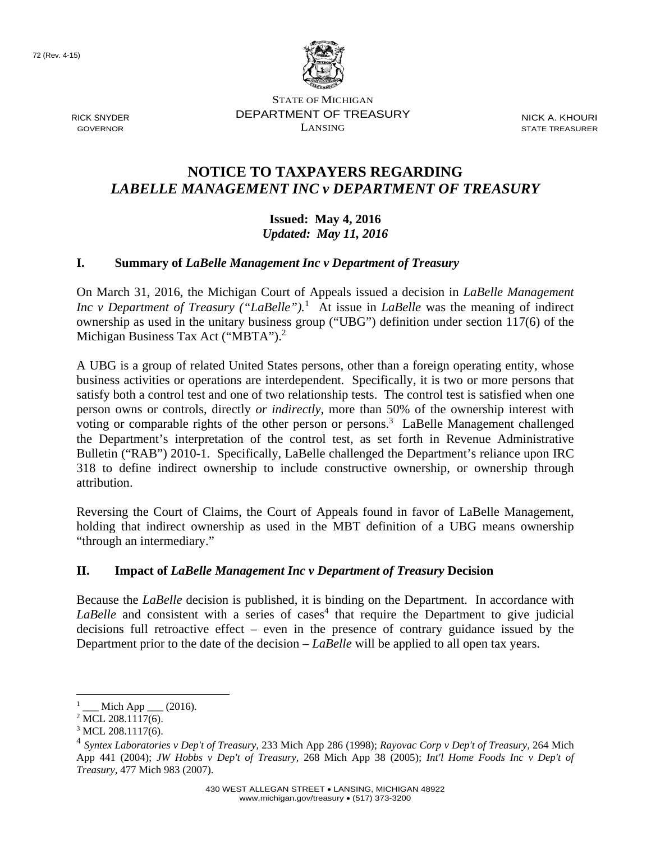72 (Rev. 4-15)



RICK SNYDER GOVERNOR

STATE OF MICHIGAN DEPARTMENT OF TREASURY LANSING

NICK A. KHOURI STATE TREASURER

## **NOTICE TO TAXPAYERS REGARDING**  *LABELLE MANAGEMENT INC v DEPARTMENT OF TREASURY*

**Issued: May 4, 2016**  *Updated: May 11, 2016* 

## **I. Summary of** *LaBelle Management Inc v Department of Treasury*

On March 31, 2016, the Michigan Court of Appeals issued a decision in *LaBelle Management Inc v Department of Treasury ("LaBelle").*<sup>1</sup> At issue in *LaBelle* was the meaning of indirect ownership as used in the unitary business group ("UBG") definition under section 117(6) of the Michigan Business Tax Act ("MBTA").<sup>2</sup>

A UBG is a group of related United States persons, other than a foreign operating entity, whose business activities or operations are interdependent. Specifically, it is two or more persons that satisfy both a control test and one of two relationship tests. The control test is satisfied when one person owns or controls, directly *or indirectly*, more than 50% of the ownership interest with voting or comparable rights of the other person or persons.<sup>3</sup> LaBelle Management challenged the Department's interpretation of the control test, as set forth in Revenue Administrative Bulletin ("RAB") 2010-1. Specifically, LaBelle challenged the Department's reliance upon IRC 318 to define indirect ownership to include constructive ownership, or ownership through attribution.

Reversing the Court of Claims, the Court of Appeals found in favor of LaBelle Management, holding that indirect ownership as used in the MBT definition of a UBG means ownership "through an intermediary."

## **II. Impact of** *LaBelle Management Inc v Department of Treasury* **Decision**

Because the *LaBelle* decision is published, it is binding on the Department. In accordance with LaBelle and consistent with a series of cases<sup>4</sup> that require the Department to give judicial decisions full retroactive effect – even in the presence of contrary guidance issued by the Department prior to the date of the decision – *LaBelle* will be applied to all open tax years.

 $\overline{a}$ 

<sup>1</sup>  $\_$  Mich App  $\_$  (2016).

<sup>&</sup>lt;sup>2</sup> MCL 208.1117(6).

<sup>&</sup>lt;sup>3</sup> MCL 208.1117(6).

<sup>4</sup> *Syntex Laboratories v Dep't of Treasury,* 233 Mich App 286 (1998); *Rayovac Corp v Dep't of Treasury,* 264 Mich App 441 (2004); *JW Hobbs v Dep't of Treasury,* 268 Mich App 38 (2005); *Int'l Home Foods Inc v Dep't of Treasury,* 477 Mich 983 (2007).